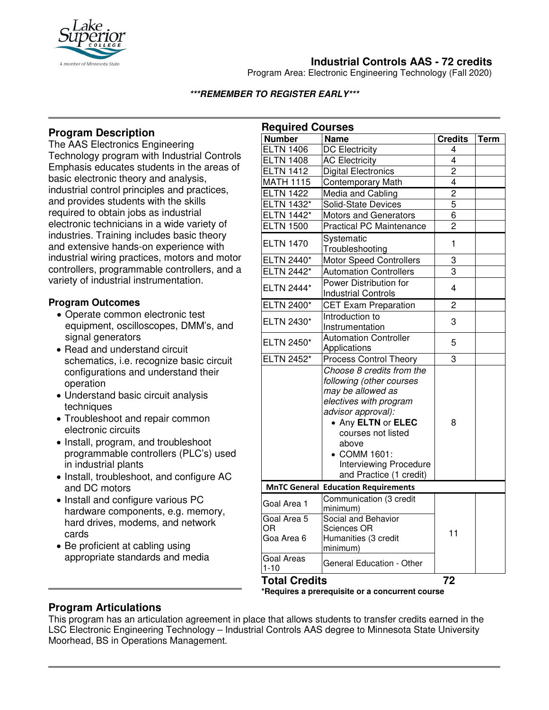

# **Industrial Controls AAS - 72 credits**

Program Area: Electronic Engineering Technology (Fall 2020)

#### **\*\*\*REMEMBER TO REGISTER EARLY\*\*\***

## **Program Description**

The AAS Electronics Engineering Technology program with Industrial Controls Emphasis educates students in the areas of basic electronic theory and analysis, industrial control principles and practices, and provides students with the skills required to obtain jobs as industrial electronic technicians in a wide variety of industries. Training includes basic theory and extensive hands-on experience with industrial wiring practices, motors and motor controllers, programmable controllers, and a variety of industrial instrumentation.

## **Program Outcomes**

- Operate common electronic test equipment, oscilloscopes, DMM's, and signal generators
- Read and understand circuit schematics, i.e. recognize basic circuit configurations and understand their operation
- Understand basic circuit analysis techniques
- Troubleshoot and repair common electronic circuits
- Install, program, and troubleshoot programmable controllers (PLC's) used in industrial plants
- Install, troubleshoot, and configure AC and DC motors
- Install and configure various PC hardware components, e.g. memory, hard drives, modems, and network cards
- Be proficient at cabling using appropriate standards and media

| <b>Required Courses</b>         |                                                                                                                                                                                                                                  |                |      |
|---------------------------------|----------------------------------------------------------------------------------------------------------------------------------------------------------------------------------------------------------------------------------|----------------|------|
| <b>Number</b>                   | <b>Name</b>                                                                                                                                                                                                                      | <b>Credits</b> | Term |
| <b>ELTN 1406</b>                | <b>DC Electricity</b>                                                                                                                                                                                                            | 4              |      |
| <b>ELTN 1408</b>                | <b>AC Electricity</b>                                                                                                                                                                                                            | 4              |      |
| <b>ELTN 1412</b>                | <b>Digital Electronics</b>                                                                                                                                                                                                       | $\overline{2}$ |      |
| <b>MATH 1115</b>                | <b>Contemporary Math</b>                                                                                                                                                                                                         | $\overline{4}$ |      |
| <b>ELTN 1422</b>                | Media and Cabling                                                                                                                                                                                                                | $\overline{c}$ |      |
| <b>ELTN 1432*</b>               | Solid-State Devices                                                                                                                                                                                                              | 5              |      |
| <b>ELTN 1442*</b>               | <b>Motors and Generators</b>                                                                                                                                                                                                     | 6              |      |
| <b>ELTN 1500</b>                | <b>Practical PC Maintenance</b>                                                                                                                                                                                                  | $\overline{2}$ |      |
| <b>ELTN 1470</b>                | Systematic<br>Troubleshooting                                                                                                                                                                                                    | $\mathbf{1}$   |      |
| ELTN 2440*                      | <b>Motor Speed Controllers</b>                                                                                                                                                                                                   | 3              |      |
| ELTN 2442*                      | <b>Automation Controllers</b>                                                                                                                                                                                                    | 3              |      |
| ELTN 2444*                      | Power Distribution for<br><b>Industrial Controls</b>                                                                                                                                                                             | 4              |      |
| ELTN 2400*                      | <b>CET Exam Preparation</b>                                                                                                                                                                                                      | $\overline{2}$ |      |
| ELTN 2430*                      | Introduction to                                                                                                                                                                                                                  | 3              |      |
|                                 | Instrumentation                                                                                                                                                                                                                  |                |      |
| ELTN 2450*                      | <b>Automation Controller</b><br>Applications                                                                                                                                                                                     | 5              |      |
| ELTN 2452*                      | <b>Process Control Theory</b>                                                                                                                                                                                                    | 3              |      |
|                                 | Choose 8 credits from the<br>following (other courses<br>may be allowed as<br>electives with program<br>advisor approval):<br>• Any ELTN or ELEC<br>courses not listed<br>above<br>• COMM 1601:<br><b>Interviewing Procedure</b> | 8              |      |
|                                 | and Practice (1 credit)                                                                                                                                                                                                          |                |      |
|                                 | <b>MnTC General Education Requirements</b><br>Communication (3 credit                                                                                                                                                            |                |      |
| Goal Area 1                     | minimum)                                                                                                                                                                                                                         |                |      |
| Goal Area 5<br>ΟR<br>Goa Area 6 | Social and Behavior<br><b>Sciences OR</b><br>Humanities (3 credit<br>minimum)                                                                                                                                                    | 11             |      |
| <b>Goal Areas</b><br>$1 - 10$   | General Education - Other                                                                                                                                                                                                        |                |      |
| <b>Total Credits</b>            |                                                                                                                                                                                                                                  | 72             |      |

**\*Requires a prerequisite or a concurrent course**

## **Program Articulations**

This program has an articulation agreement in place that allows students to transfer credits earned in the LSC Electronic Engineering Technology – Industrial Controls AAS degree to Minnesota State University Moorhead, BS in Operations Management.